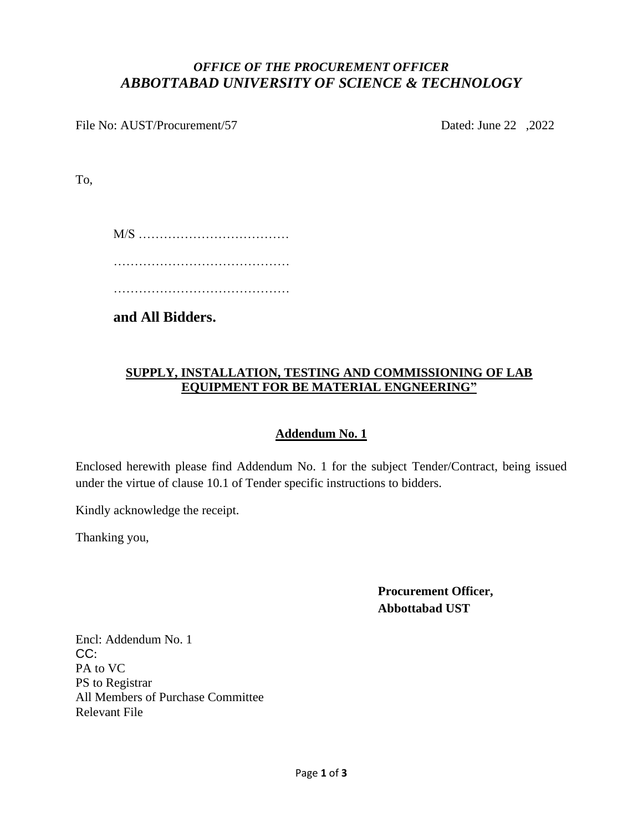### *OFFICE OF THE PROCUREMENT OFFICER ABBOTTABAD UNIVERSITY OF SCIENCE & TECHNOLOGY*

File No: AUST/Procurement/57 Dated: June 22 ,2022

To,

M/S ……………………………… …………………………………………… ……………………………………

**and All Bidders.**

#### **SUPPLY, INSTALLATION, TESTING AND COMMISSIONING OF LAB EQUIPMENT FOR BE MATERIAL ENGNEERING"**

#### **Addendum No. 1**

Enclosed herewith please find Addendum No. 1 for the subject Tender/Contract, being issued under the virtue of clause 10.1 of Tender specific instructions to bidders.

Kindly acknowledge the receipt.

Thanking you,

**Procurement Officer, Abbottabad UST**

Encl: Addendum No. 1 CC: PA to VC PS to Registrar All Members of Purchase Committee Relevant File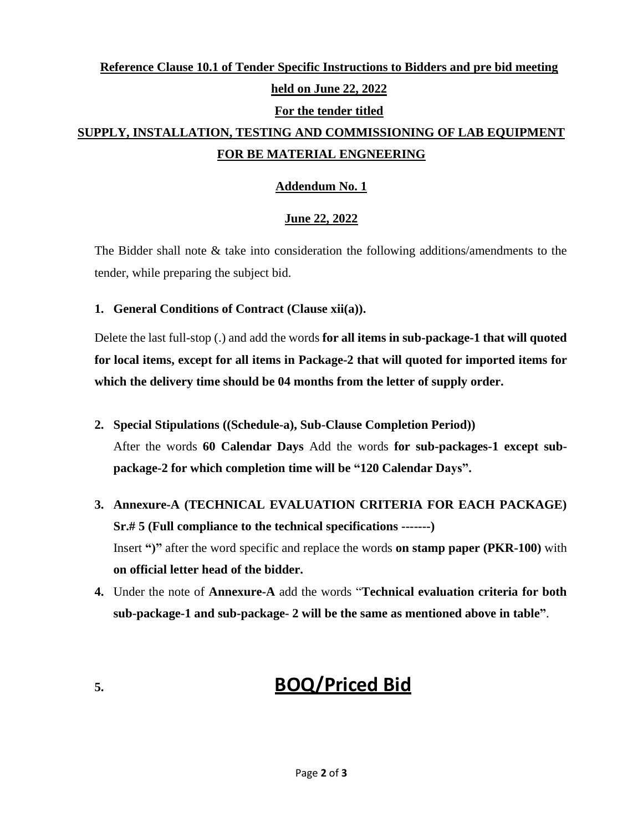## **Reference Clause 10.1 of Tender Specific Instructions to Bidders and pre bid meeting held on June 22, 2022 For the tender titled SUPPLY, INSTALLATION, TESTING AND COMMISSIONING OF LAB EQUIPMENT FOR BE MATERIAL ENGNEERING**

#### **Addendum No. 1**

#### **June 22, 2022**

The Bidder shall note  $\&$  take into consideration the following additions/amendments to the tender, while preparing the subject bid.

**1. General Conditions of Contract (Clause xii(a)).**

Delete the last full-stop (.) and add the words **for all items in sub-package-1 that will quoted for local items, except for all items in Package-2 that will quoted for imported items for which the delivery time should be 04 months from the letter of supply order.**

- **2. Special Stipulations ((Schedule-a), Sub-Clause Completion Period))** After the words **60 Calendar Days** Add the words **for sub-packages-1 except subpackage-2 for which completion time will be "120 Calendar Days".**
- **3. Annexure-A (TECHNICAL EVALUATION CRITERIA FOR EACH PACKAGE) Sr.# 5 (Full compliance to the technical specifications -------)** Insert **")"** after the word specific and replace the words **on stamp paper (PKR-100)** with **on official letter head of the bidder.**
- **4.** Under the note of **Annexure-A** add the words "**Technical evaluation criteria for both sub-package-1 and sub-package- 2 will be the same as mentioned above in table"**.

# **5. BOQ/Priced Bid**